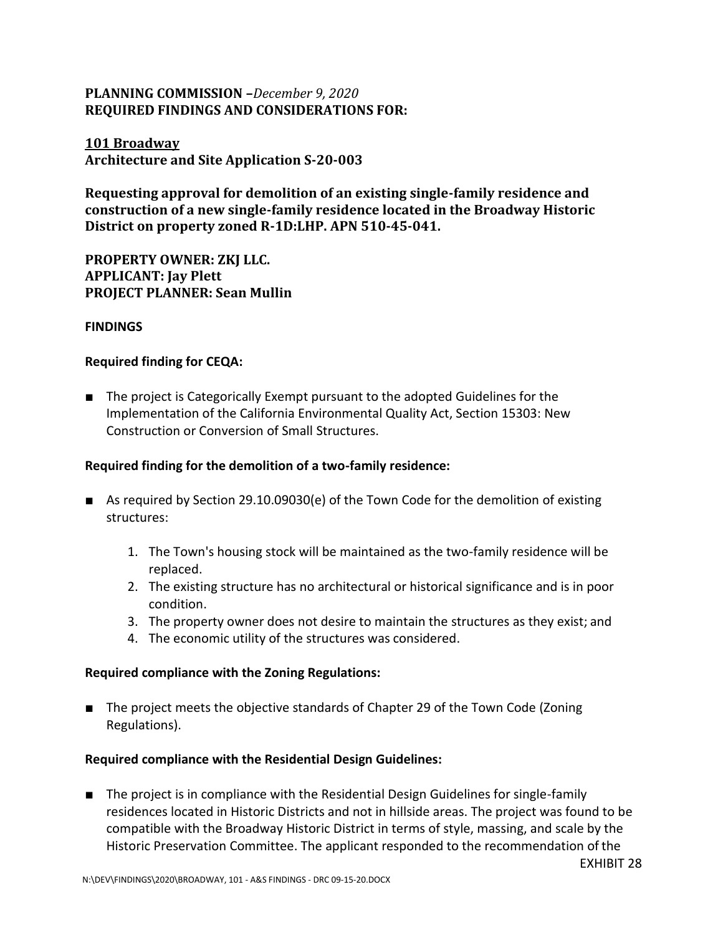# **PLANNING COMMISSION –***December 9, 2020* **REQUIRED FINDINGS AND CONSIDERATIONS FOR:**

**101 Broadway Architecture and Site Application S-20-003**

**Requesting approval for demolition of an existing single-family residence and construction of a new single-family residence located in the Broadway Historic District on property zoned R-1D:LHP. APN 510-45-041.**

**PROPERTY OWNER: ZKJ LLC. APPLICANT: Jay Plett PROJECT PLANNER: Sean Mullin**

## **FINDINGS**

## **Required finding for CEQA:**

■ The project is Categorically Exempt pursuant to the adopted Guidelines for the Implementation of the California Environmental Quality Act, Section 15303: New Construction or Conversion of Small Structures.

## **Required finding for the demolition of a two-family residence:**

- As required by Section 29.10.09030(e) of the Town Code for the demolition of existing structures:
	- 1. The Town's housing stock will be maintained as the two-family residence will be replaced.
	- 2. The existing structure has no architectural or historical significance and is in poor condition.
	- 3. The property owner does not desire to maintain the structures as they exist; and
	- 4. The economic utility of the structures was considered.

#### **Required compliance with the Zoning Regulations:**

■ The project meets the objective standards of Chapter 29 of the Town Code (Zoning Regulations).

#### **Required compliance with the Residential Design Guidelines:**

■ The project is in compliance with the Residential Design Guidelines for single-family residences located in Historic Districts and not in hillside areas. The project was found to be compatible with the Broadway Historic District in terms of style, massing, and scale by the Historic Preservation Committee. The applicant responded to the recommendation of the